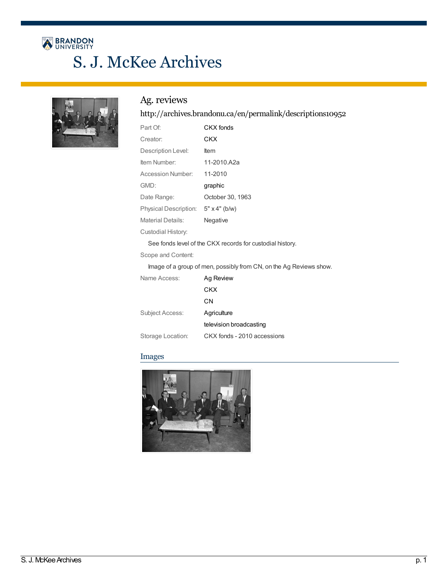# BRANDON<br>UNIVERSITY S. J. McKee Archives



## Ag. reviews

## <http://archives.brandonu.ca/en/permalink/descriptions10952>

| Part Of:                                                           | CKX fonds            |
|--------------------------------------------------------------------|----------------------|
| Creator:                                                           | CKX                  |
| Description Level:                                                 | ltem                 |
| Item Number:                                                       | 11-2010.A2a          |
| Accession Number:                                                  | 11-2010              |
| GMD:                                                               | graphic              |
| Date Range:                                                        | October 30, 1963     |
| Physical Description:                                              | $5" \times 4"$ (b/w) |
| <b>Material Details:</b>                                           | Negative             |
| Custodial History:                                                 |                      |
| See fonds level of the CKX records for custodial history.          |                      |
| Scope and Content:                                                 |                      |
| Image of a group of men, possibly from CN, on the Ag Reviews show. |                      |

| Name Access:      | Ag Review                   |
|-------------------|-----------------------------|
|                   | CKX                         |
|                   | CΝ                          |
| Subject Access:   | Agriculture                 |
|                   | television broadcasting     |
| Storage Location: | CKX fonds - 2010 accessions |

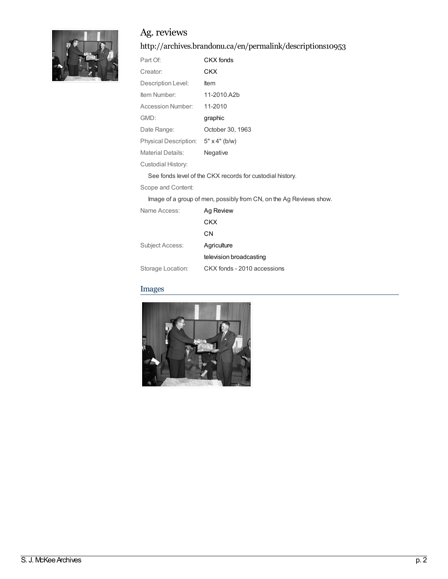

## Ag. reviews

<http://archives.brandonu.ca/en/permalink/descriptions10953>

| Part Of:                                                           | CKX fonds            |
|--------------------------------------------------------------------|----------------------|
| Creator:                                                           | CKX                  |
| Description Level:                                                 | ltem                 |
| Item Number:                                                       | 11-2010.A2b          |
| Accession Number:                                                  | 11-2010              |
| GMD:                                                               | graphic              |
| Date Range:                                                        | October 30, 1963     |
| Physical Description:                                              | $5" \times 4"$ (b/w) |
| <b>Material Details:</b>                                           | Negative             |
| Custodial History:                                                 |                      |
| See fonds level of the CKX records for custodial history.          |                      |
| Scope and Content:                                                 |                      |
| Image of a group of men, possibly from CN, on the Ag Reviews show. |                      |

| Name Access:      | Ag Review                   |
|-------------------|-----------------------------|
|                   | CKX                         |
|                   | CΝ                          |
| Subject Access:   | Agriculture                 |
|                   | television broadcasting     |
| Storage Location: | CKX fonds - 2010 accessions |

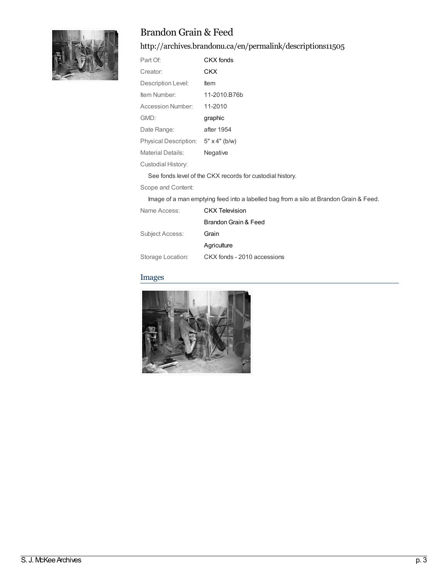

## Brandon Grain & Feed

<http://archives.brandonu.ca/en/permalink/descriptions11505>

| Part Of:                 | CKX fonds            |
|--------------------------|----------------------|
| Creator:                 | CKX                  |
| Description Level:       | Item                 |
| Item Number:             | 11-2010.B76b         |
| Accession Number:        | 11-2010              |
| GMD:                     | graphic              |
| Date Range:              | after 1954           |
| Physical Description:    | $5" \times 4"$ (b/w) |
| <b>Material Details:</b> | Negative             |
| Custodial History:       |                      |

See fonds level of the CKX records for custodial history.

Scope and Content:

Image of a man emptying feed into a labelled bag from a silo at Brandon Grain & Feed.

| CKX Television              |
|-----------------------------|
| Brandon Grain & Feed        |
| Grain                       |
| Agriculture                 |
| CKX fonds - 2010 accessions |
|                             |

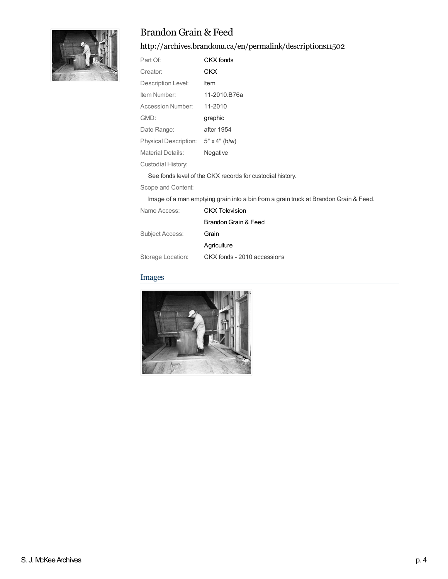

## Brandon Grain & Feed

<http://archives.brandonu.ca/en/permalink/descriptions11502>

| Part Of:                 | CKX fonds            |
|--------------------------|----------------------|
| Creator:                 | CKX                  |
| Description Level:       | Item                 |
| Item Number:             | 11-2010.B76a         |
| <b>Accession Number:</b> | 11-2010              |
| GMD:                     | graphic              |
| Date Range:              | after 1954           |
| Physical Description:    | $5" \times 4"$ (b/w) |
| Material Details:        | Negative             |
| Custodial History:       |                      |

See fonds level of the CKX records for custodial history.

Scope and Content:

Image of a man emptying grain into a bin from a grain truck at BrandonGrain & Feed.

| CKX Television              |
|-----------------------------|
| Brandon Grain & Feed        |
| Grain                       |
| Agriculture                 |
| CKX fonds - 2010 accessions |
|                             |

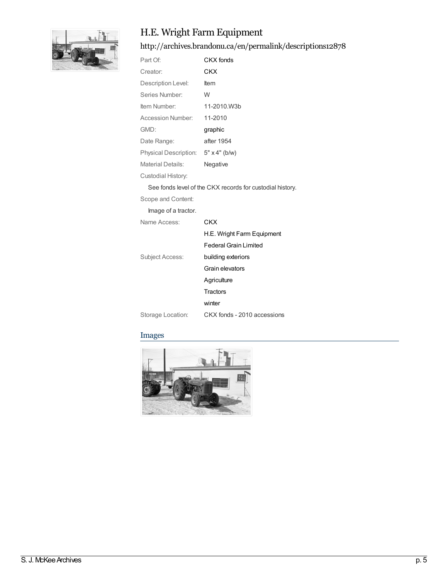

## H.E. Wright Farm Equipment

<http://archives.brandonu.ca/en/permalink/descriptions12878>

| Part Of:                     | CKX fonds            |
|------------------------------|----------------------|
| Creator:                     | CKX                  |
| Description Level:           | ltem                 |
| Series Number:               | W                    |
| Item Number:                 | 11-2010.W3b          |
| Accession Number:            | 11-2010              |
| GMD:                         | graphic              |
| Date Range:                  | after 1954           |
| <b>Physical Description:</b> | $5" \times 4"$ (b/w) |
| Material Details:            | Negative             |
| Custodial History:           |                      |

See fonds level of the CKX records for custodial history.

Scope and Content:

Image of a tractor.

Name Access: [CKX](http://archives.brandonu.ca/en/list?q=name%3a%22CKX%22&p=1&ps=&sort=title_sort+asc)

| H.E. Wright Farm Equipment   |
|------------------------------|
| <b>Federal Grain Limited</b> |

| Subject Access: | building exteriors |
|-----------------|--------------------|
|                 | Grain elevators    |
|                 | Agriculture        |
|                 | Tractors           |
|                 | winter             |
|                 |                    |

Storage Location: CKX fonds - 2010 accessions

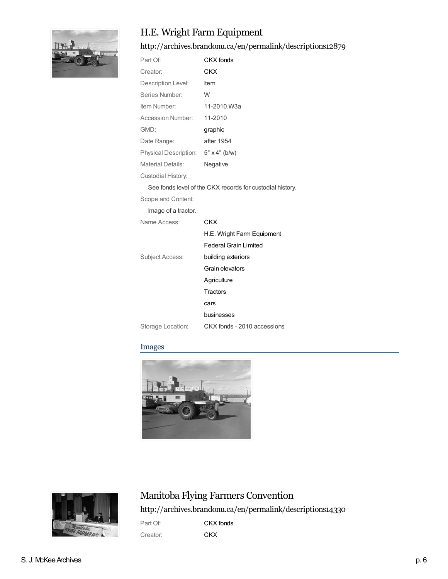

## H.E. Wright Farm Equipment

<http://archives.brandonu.ca/en/permalink/descriptions12879>

| Part Of:                            | CKX fonds   |
|-------------------------------------|-------------|
| Creator:                            | CKX         |
| Description Level:                  | <b>Item</b> |
| Series Number:                      | W           |
| Item Number:                        | 11-2010.W3a |
| <b>Accession Number:</b>            | 11-2010     |
| GMD:                                | graphic     |
| Date Range:                         | after 1954  |
| Physical Description: 5" x 4" (b/w) |             |
| Material Details:                   | Negative    |
| Custodial History:                  |             |

See fonds level of the CKX records for custodial history.

Scope and Content:

Image of a tractor.

| Name Access:      | CKX                         |
|-------------------|-----------------------------|
|                   | H.E. Wright Farm Equipment  |
|                   | Federal Grain Limited       |
| Subject Access:   | building exteriors          |
|                   | Grain elevators             |
|                   | Agriculture                 |
|                   | Tractors                    |
|                   | cars                        |
|                   | businesses                  |
| Storage Location: | CKX fonds - 2010 accessions |

### Images





## Manitoba Flying Farmers Convention

<http://archives.brandonu.ca/en/permalink/descriptions14330>

Part Of: **CKX [fonds](http://archives.brandonu.ca/en/list?q=setName%3a%22CKX+fonds%22&p=1&ps=&sort=title_sort+asc)** Creator: **[CKX](http://archives.brandonu.ca/en/list?q=name%3a%22CKX%22&p=1&ps=&sort=title_sort+asc)**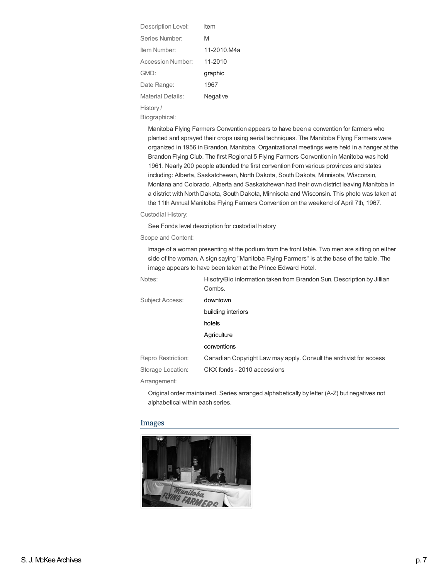| Description Level: | ltem        |
|--------------------|-------------|
| Series Number      | M           |
| Item Number:       | 11-2010.M4a |
| Accession Number   | 11-2010     |
| GMD:               | graphic     |
| Date Range:        | 1967        |
| Material Details:  | Negative    |
| History /          |             |

Biographical:

Manitoba Flying Farmers Convention appears to have been a convention for farmers who planted and sprayed their crops using aerial techniques. The Manitoba Flying Farmers were organized in 1956 in Brandon, Manitoba. Organizational meetings were held in a hanger at the Brandon Flying Club. The first Regional 5 Flying Farmers Convention in Manitoba was held 1961. Nearly 200 people attended the first convention from various provinces and states including: Alberta, Saskatchewan, North Dakota, South Dakota, Minnisota, Wisconsin, Montana and Colorado. Alberta and Saskatchewan had their own district leaving Manitoba in a district with North Dakota, South Dakota, Minnisota and Wisconsin. This photo was taken at the 11th Annual Manitoba Flying Farmers Convention on the weekend of April 7th, 1967.

#### Custodial History:

See Fonds level description for custodial history

#### Scope and Content:

Image of a woman presenting at the podium from the front table. Two men are sitting on either side of the woman. A sign saying "Manitoba Flying Farmers" is at the base of the table. The image appears to have been taken at the Prince Edward Hotel.

| Notes:             | Hisotry/Bio information taken from Brandon Sun. Description by Jillian<br>Combs. |
|--------------------|----------------------------------------------------------------------------------|
| Subject Access:    | downtown                                                                         |
|                    | building interiors                                                               |
|                    | hotels                                                                           |
|                    | Agriculture                                                                      |
|                    | conventions                                                                      |
| Repro Restriction: | Canadian Copyright Law may apply. Consult the archivist for access               |
| Storage Location:  | CKX fonds - 2010 accessions                                                      |
|                    |                                                                                  |

Arrangement:

Original order maintained. Series arranged alphabetically by letter (A-Z) but negatives not alphabetical within each series.

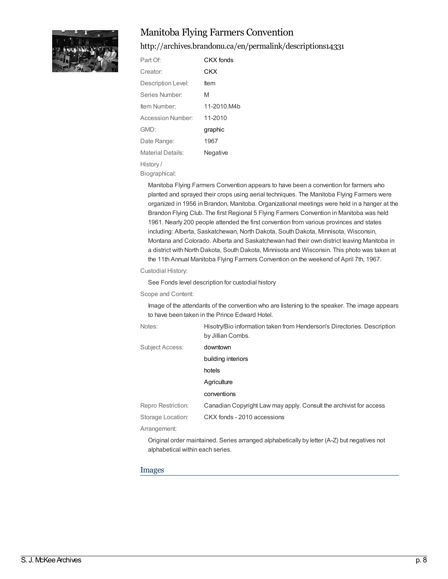

## Manitoba Flying Farmers Convention

<http://archives.brandonu.ca/en/permalink/descriptions14331>

| Part Of:           | CKX fonds   |
|--------------------|-------------|
| Creator:           | CKX         |
| Description Level: | ltem        |
| Series Number:     | M           |
| Item Number:       | 11-2010.M4b |
| Accession Number:  | 11-2010     |
| GMD:               | graphic     |
| Date Range:        | 1967        |
| Material Details:  | Negative    |
| History/           |             |

Biographical:

Manitoba Flying Farmers Convention appears to have been a convention for farmers who planted and sprayed their crops using aerial techniques. The Manitoba Flying Farmers were organized in 1956 in Brandon, Manitoba. Organizational meetings were held in a hanger at the Brandon Flying Club. The first Regional 5 Flying Farmers Convention in Manitoba was held 1961. Nearly 200 people attended the first convention from various provinces and states including: Alberta, Saskatchewan, North Dakota, South Dakota, Minnisota, Wisconsin, Montana and Colorado. Alberta and Saskatchewan had their own district leaving Manitoba in a district with North Dakota, South Dakota, Minnisota and Wisconsin. This photo was taken at the 11th Annual Manitoba Flying Farmers Convention on the weekend of April 7th, 1967.

#### Custodial History:

See Fonds level description for custodial history

#### Scope and Content:

Image of the attendants of the convention who are listening to the speaker. The image appears to have been taken in the Prince Edward Hotel.

| Notes:                 | Hisotry/Bio information taken from Henderson's Directories. Description<br>by Jillian Combs. |
|------------------------|----------------------------------------------------------------------------------------------|
| <b>Subject Access:</b> | downtown                                                                                     |
|                        | building interiors                                                                           |
|                        | hotels                                                                                       |
|                        | Agriculture                                                                                  |
|                        | conventions                                                                                  |
| Repro Restriction:     | Canadian Copyright Law may apply. Consult the archivist for access                           |
| Storage Location:      | CKX fonds - 2010 accessions                                                                  |
| Arrangement:           |                                                                                              |
|                        | Original order maintained. Series arranged alphabetically by letter (A-Z) but negatives not  |

#### Images

alphabetical within each series.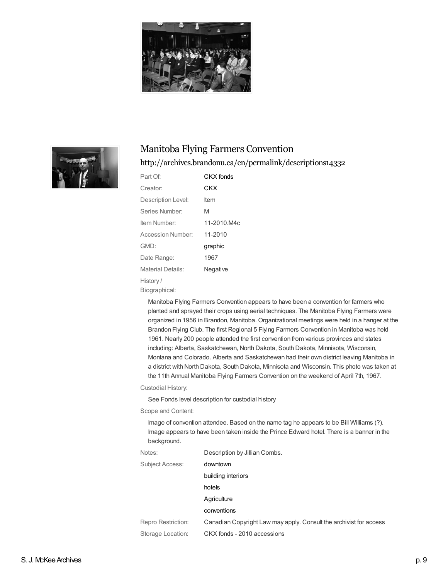



## Manitoba Flying Farmers Convention

### <http://archives.brandonu.ca/en/permalink/descriptions14332>

| Part Of:           | CKX fonds   |
|--------------------|-------------|
| Creator:           | CKX         |
| Description Level: | ltem        |
| Series Number:     | M           |
| Item Number:       | 11-2010.M4c |
| Accession Number:  | 11-2010     |
| GMD:               | graphic     |
| Date Range:        | 1967        |
| Material Details:  | Negative    |
| History/           |             |
|                    |             |

Biographical:

Manitoba Flying Farmers Convention appears to have been a convention for farmers who planted and sprayed their crops using aerial techniques. The Manitoba Flying Farmers were organized in 1956 in Brandon, Manitoba. Organizational meetings were held in a hanger at the Brandon Flying Club. The first Regional 5 Flying Farmers Convention in Manitoba was held 1961. Nearly 200 people attended the first convention from various provinces and states including: Alberta, Saskatchewan, North Dakota, South Dakota, Minnisota, Wisconsin, Montana and Colorado. Alberta and Saskatchewan had their own district leaving Manitoba in a district with North Dakota, South Dakota, Minnisota and Wisconsin. This photo was taken at the 11th Annual Manitoba Flying Farmers Convention on the weekend of April 7th, 1967.

Custodial History:

See Fonds level description for custodial history

Scope and Content:

Image of convention attendee. Based on the name tag he appears to be Bill Williams (?). Image appears to have been taken inside the Prince Edward hotel. There is a banner in the background.

| Notes:             | Description by Jillian Combs.                                      |
|--------------------|--------------------------------------------------------------------|
| Subject Access:    | downtown                                                           |
|                    | building interiors                                                 |
|                    | hotels                                                             |
|                    | Agriculture                                                        |
|                    | conventions                                                        |
| Repro Restriction: | Canadian Copyright Law may apply. Consult the archivist for access |
| Storage Location:  | CKX fonds - 2010 accessions                                        |
|                    |                                                                    |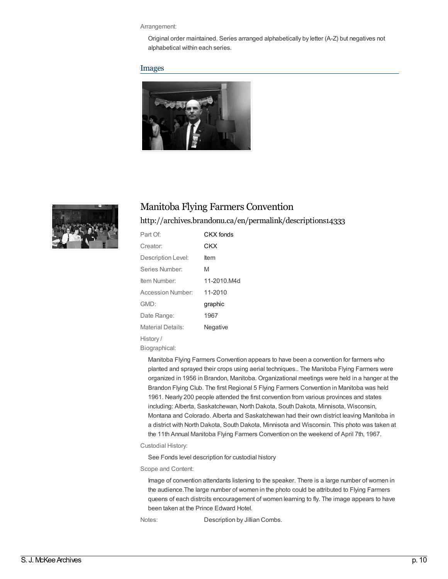#### Arrangement:

Original order maintained. Series arranged alphabetically by letter (A-Z) but negatives not alphabetical within each series.

#### Images





## Manitoba Flying Farmers Convention

### <http://archives.brandonu.ca/en/permalink/descriptions14333>

| Part Of:                 | CKX fonds   |
|--------------------------|-------------|
| Creator:                 | CKX         |
| Description Level:       | ltem        |
| Series Number:           | M           |
| Item Number:             | 11-2010.M4d |
| <b>Accession Number:</b> | 11-2010     |
| GMD:                     | graphic     |
| Date Range:              | 1967        |
| Material Details:        | Negative    |
| History/                 |             |
| Biographical:            |             |

Manitoba Flying Farmers Convention appears to have been a convention for farmers who planted and sprayed their crops using aerial techniques.. The Manitoba Flying Farmers were organized in 1956 in Brandon, Manitoba. Organizational meetings were held in a hanger at the Brandon Flying Club. The first Regional 5 Flying Farmers Convention in Manitoba was held 1961. Nearly 200 people attended the first convention from various provinces and states including: Alberta, Saskatchewan, North Dakota, South Dakota, Minnisota, Wisconsin, Montana and Colorado. Alberta and Saskatchewan had their own district leaving Manitoba in a district with North Dakota, South Dakota, Minnisota and Wisconsin. This photo was taken at the 11th Annual Manitoba Flying Farmers Convention on the weekend of April 7th, 1967.

Custodial History:

See Fonds level description for custodial history

Scope and Content:

Image of convention attendants listening to the speaker. There is a large number of women in the audience.The large number of women in the photo could be attributed to Flying Farmers queens of each distrcits encouragement of women learning to fly. The image appears to have been taken at the Prince Edward Hotel.

Notes: Description by Jillian Combs.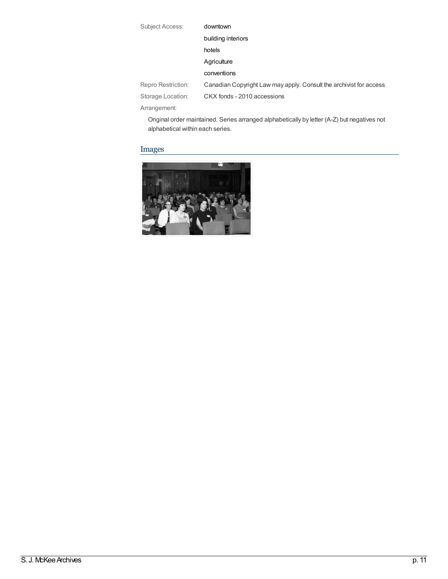| Subject Access:    | downtown                                                           |  |
|--------------------|--------------------------------------------------------------------|--|
|                    | building interiors                                                 |  |
|                    | hotels                                                             |  |
|                    | Agriculture                                                        |  |
|                    | conventions                                                        |  |
| Repro Restriction: | Canadian Copyright Law may apply. Consult the archivist for access |  |
| Storage Location:  | CKX fonds - 2010 accessions                                        |  |
| Arrangement:       |                                                                    |  |

Original order maintained. Series arranged alphabetically by letter (A-Z) but negatives not alphabetical within each series.

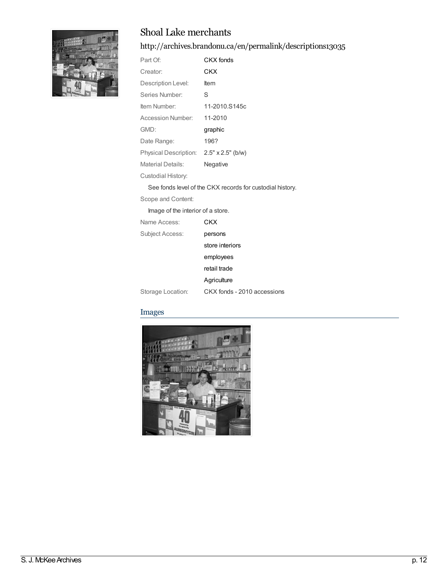

## Shoal Lake merchants

<http://archives.brandonu.ca/en/permalink/descriptions13035>

| Part Of:              | CKX fonds                |
|-----------------------|--------------------------|
| Creator:              | CKX                      |
| Description Level:    | ltem                     |
| Series Number:        | S                        |
| Item Number:          | 11-2010.S145c            |
| Accession Number:     | 11-2010                  |
| GMD:                  | graphic                  |
| Date Range:           | 196?                     |
| Physical Description: | $2.5" \times 2.5"$ (b/w) |
| Material Details:     | Negative                 |
| Custodial History:    |                          |

See fonds level of the CKX records for custodial history.

Scope and Content:

Image of the interior of a store.

| Name Access:      | CKX                         |
|-------------------|-----------------------------|
| Subject Access:   | persons                     |
|                   | store interiors             |
|                   | employees                   |
|                   | retail trade                |
|                   | Agriculture                 |
| Storage Location: | CKX fonds - 2010 accessions |

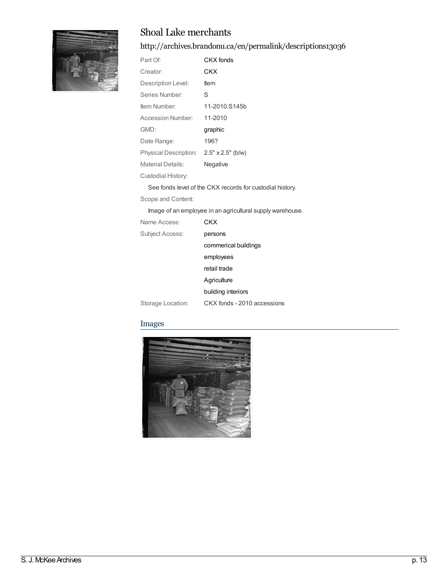

## Shoal Lake merchants

<http://archives.brandonu.ca/en/permalink/descriptions13036>

| Part Of:              | CKX fonds                |
|-----------------------|--------------------------|
| Creator:              | CKX                      |
| Description Level:    | ltem                     |
| Series Number:        | S                        |
| Item Number:          | 11-2010.S145b            |
| Accession Number:     | 11-2010                  |
| GMD:                  | graphic                  |
| Date Range:           | 196?                     |
| Physical Description: | $2.5" \times 2.5"$ (b/w) |
| Material Details:     | Negative                 |
| Custodial History:    |                          |

See fonds level of the CKX records for custodial history.

Scope and Content:

Image of an employee in an agricultural supply warehouse.

| Name Access:      | CKX                         |
|-------------------|-----------------------------|
| Subject Access:   | persons                     |
|                   | commerical buildings        |
|                   | employees                   |
|                   | retail trade                |
|                   | Agriculture                 |
|                   | building interiors          |
| Storage Location: | CKX fonds - 2010 accessions |

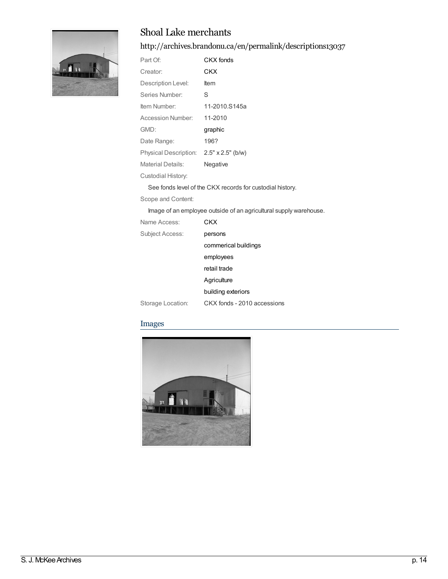

## Shoal Lake merchants

<http://archives.brandonu.ca/en/permalink/descriptions13037>

| Part Of:                                | CKX fonds     |
|-----------------------------------------|---------------|
| Creator:                                | CKX           |
| Description Level:                      | ltem          |
| Series Number:                          | S             |
| Item Number:                            | 11-2010.S145a |
| Accession Number:                       | 11-2010       |
| GMD:                                    | graphic       |
| Date Range:                             | 196?          |
| Physical Description: 2.5" x 2.5" (b/w) |               |
| Material Details:                       | Negative      |
| Custodial History:                      |               |

See fonds level of the CKX records for custodial history.

Scope and Content:

Image of an employee outside of an agricultural supply warehouse.

| Name Access:      | CKX                         |
|-------------------|-----------------------------|
| Subject Access:   | persons                     |
|                   | commerical buildings        |
|                   | employees                   |
|                   | retail trade                |
|                   | Agriculture                 |
|                   | building exteriors          |
| Storage Location: | CKX fonds - 2010 accessions |

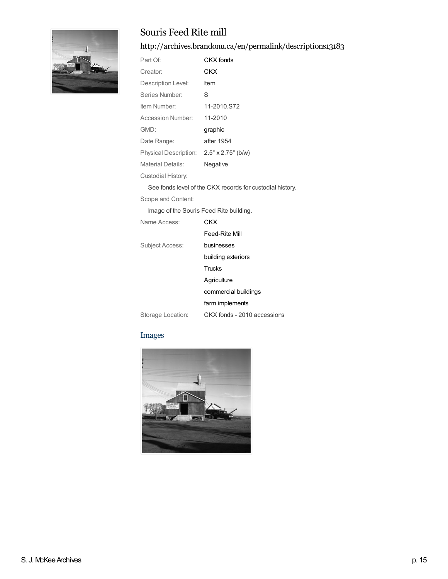

## Souris Feed Rite mill

<http://archives.brandonu.ca/en/permalink/descriptions13183>

| Part Of:                                 | CKX fonds                                                 |  |
|------------------------------------------|-----------------------------------------------------------|--|
| Creator:                                 | CKX                                                       |  |
| Description Level:                       | Item                                                      |  |
| Series Number:                           | S                                                         |  |
| Item Number:                             | 11-2010.S72                                               |  |
| <b>Accession Number:</b>                 | 11-2010                                                   |  |
| GMD:                                     | graphic                                                   |  |
| Date Range:                              | after 1954                                                |  |
| Physical Description: 2.5" x 2.75" (b/w) |                                                           |  |
| Material Details:                        | Negative                                                  |  |
| Custodial History:                       |                                                           |  |
|                                          | See fonds level of the CKX records for custodial history. |  |
| Scope and Content:                       |                                                           |  |
| Image of the Souris Feed Rite building.  |                                                           |  |
| Name Access:                             | <b>CKX</b>                                                |  |
|                                          | Feed-Rite Mill                                            |  |
| Subject Access:                          | businesses                                                |  |
|                                          | building exteriors                                        |  |
|                                          | Trucks                                                    |  |
|                                          | Agriculture                                               |  |

Storage Location: CKX fonds - 2010 accessions

[commercial](http://archives.brandonu.ca/en/list?q=topic%3a%22commercial+buildings%22&p=1&ps=&sort=title_sort+asc) buildings farm [implements](http://archives.brandonu.ca/en/list?q=topic%3a%22farm+implements%22&p=1&ps=&sort=title_sort+asc)